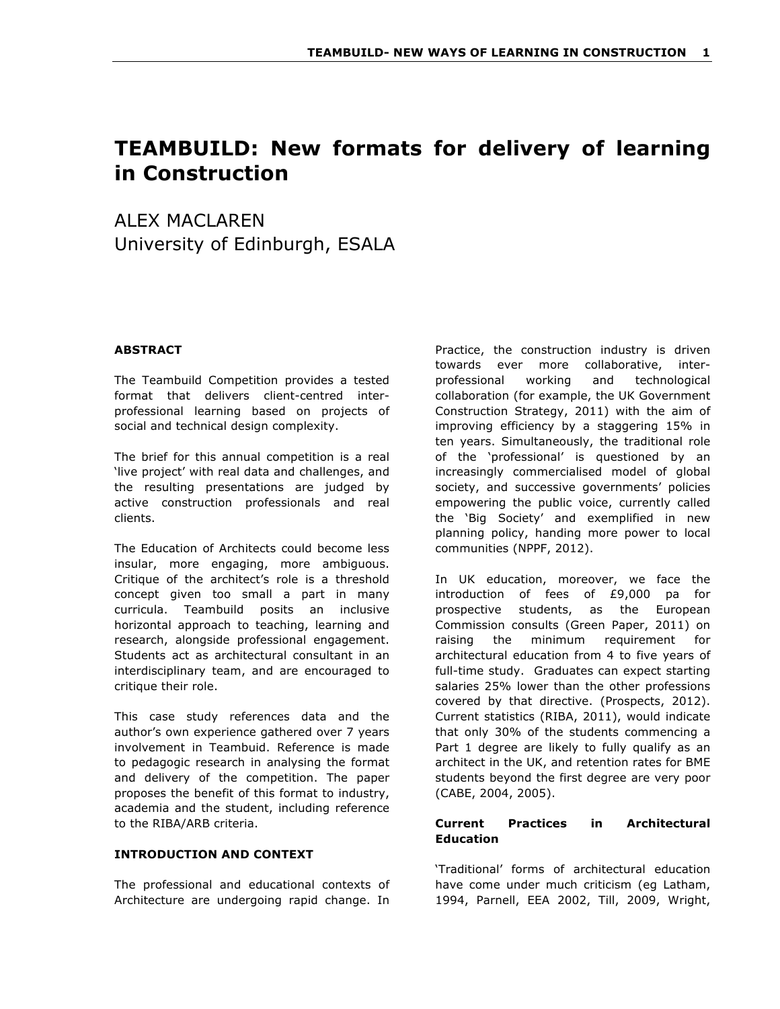# **TEAMBUILD: New formats for delivery of learning in Construction**

ALEX MACLAREN University of Edinburgh, ESALA

# **ABSTRACT**

The Teambuild Competition provides a tested format that delivers client-centred interprofessional learning based on projects of social and technical design complexity.

The brief for this annual competition is a real 'live project' with real data and challenges, and the resulting presentations are judged by active construction professionals and real clients.

The Education of Architects could become less insular, more engaging, more ambiguous. Critique of the architect's role is a threshold concept given too small a part in many curricula. Teambuild posits an inclusive horizontal approach to teaching, learning and research, alongside professional engagement. Students act as architectural consultant in an interdisciplinary team, and are encouraged to critique their role.

This case study references data and the author's own experience gathered over 7 years involvement in Teambuid. Reference is made to pedagogic research in analysing the format and delivery of the competition. The paper proposes the benefit of this format to industry, academia and the student, including reference to the RIBA/ARB criteria.

## **INTRODUCTION AND CONTEXT**

The professional and educational contexts of Architecture are undergoing rapid change. In Practice, the construction industry is driven towards ever more collaborative, interprofessional working and technological collaboration (for example, the UK Government Construction Strategy, 2011) with the aim of improving efficiency by a staggering 15% in ten years. Simultaneously, the traditional role of the 'professional' is questioned by an increasingly commercialised model of global society, and successive governments' policies empowering the public voice, currently called the 'Big Society' and exemplified in new planning policy, handing more power to local communities (NPPF, 2012).

In UK education, moreover, we face the introduction of fees of £9,000 pa for prospective students, as the European Commission consults (Green Paper, 2011) on raising the minimum requirement for architectural education from 4 to five years of full-time study. Graduates can expect starting salaries 25% lower than the other professions covered by that directive. (Prospects, 2012). Current statistics (RIBA, 2011), would indicate that only 30% of the students commencing a Part 1 degree are likely to fully qualify as an architect in the UK, and retention rates for BME students beyond the first degree are very poor (CABE, 2004, 2005).

# **Current Practices in Architectural Education**

'Traditional' forms of architectural education have come under much criticism (eg Latham, 1994, Parnell, EEA 2002, Till, 2009, Wright,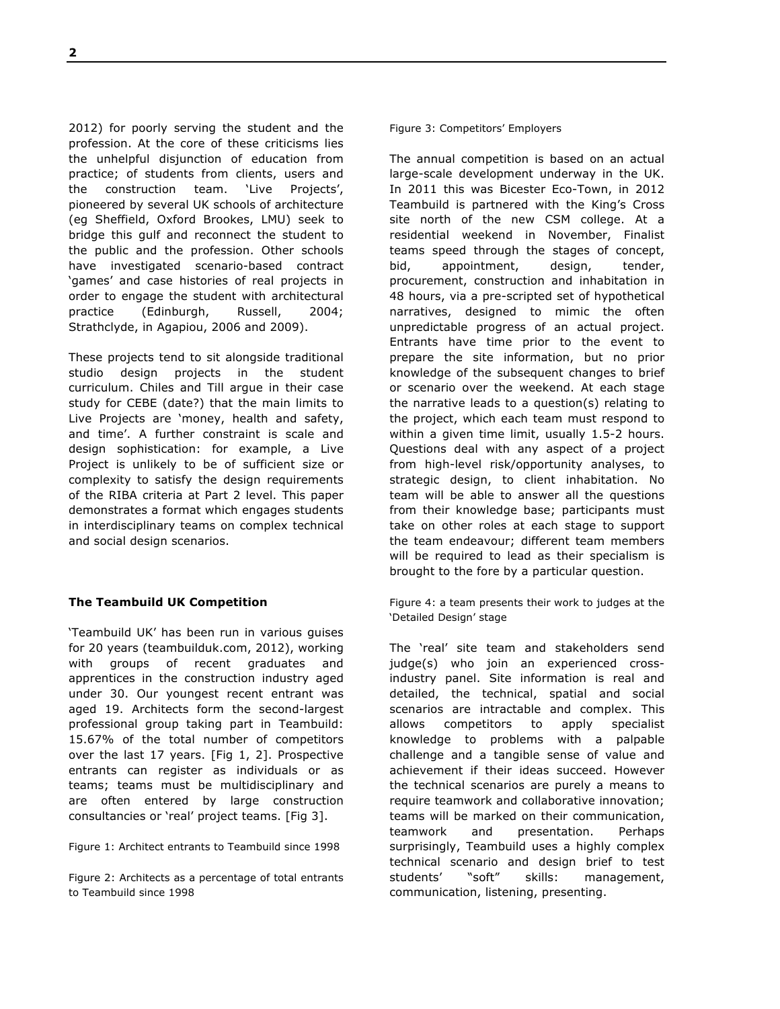2012) for poorly serving the student and the profession. At the core of these criticisms lies the unhelpful disjunction of education from practice; of students from clients, users and the construction team. 'Live Projects', pioneered by several UK schools of architecture (eg Sheffield, Oxford Brookes, LMU) seek to bridge this gulf and reconnect the student to the public and the profession. Other schools have investigated scenario-based contract 'games' and case histories of real projects in order to engage the student with architectural practice (Edinburgh, Russell, 2004; Strathclyde, in Agapiou, 2006 and 2009).

These projects tend to sit alongside traditional studio design projects in the student curriculum. Chiles and Till argue in their case study for CEBE (date?) that the main limits to Live Projects are 'money, health and safety, and time'. A further constraint is scale and design sophistication: for example, a Live Project is unlikely to be of sufficient size or complexity to satisfy the design requirements of the RIBA criteria at Part 2 level. This paper demonstrates a format which engages students in interdisciplinary teams on complex technical and social design scenarios.

## **The Teambuild UK Competition**

'Teambuild UK' has been run in various guises for 20 years (teambuilduk.com, 2012), working with groups of recent graduates and apprentices in the construction industry aged under 30. Our youngest recent entrant was aged 19. Architects form the second-largest professional group taking part in Teambuild: 15.67% of the total number of competitors over the last 17 years. [Fig 1, 2]. Prospective entrants can register as individuals or as teams; teams must be multidisciplinary and are often entered by large construction consultancies or 'real' project teams. [Fig 3].

Figure 1: Architect entrants to Teambuild since 1998

Figure 2: Architects as a percentage of total entrants to Teambuild since 1998

## Figure 3: Competitors' Employers

The annual competition is based on an actual large-scale development underway in the UK. In 2011 this was Bicester Eco-Town, in 2012 Teambuild is partnered with the King's Cross site north of the new CSM college. At a residential weekend in November, Finalist teams speed through the stages of concept, bid, appointment, design, tender, procurement, construction and inhabitation in 48 hours, via a pre-scripted set of hypothetical narratives, designed to mimic the often unpredictable progress of an actual project. Entrants have time prior to the event to prepare the site information, but no prior knowledge of the subsequent changes to brief or scenario over the weekend. At each stage the narrative leads to a question(s) relating to the project, which each team must respond to within a given time limit, usually 1.5-2 hours. Questions deal with any aspect of a project from high-level risk/opportunity analyses, to strategic design, to client inhabitation. No team will be able to answer all the questions from their knowledge base; participants must take on other roles at each stage to support the team endeavour; different team members will be required to lead as their specialism is brought to the fore by a particular question.

Figure 4: a team presents their work to judges at the 'Detailed Design' stage

The 'real' site team and stakeholders send judge(s) who join an experienced crossindustry panel. Site information is real and detailed, the technical, spatial and social scenarios are intractable and complex. This allows competitors to apply specialist knowledge to problems with a palpable challenge and a tangible sense of value and achievement if their ideas succeed. However the technical scenarios are purely a means to require teamwork and collaborative innovation; teams will be marked on their communication, teamwork and presentation. Perhaps surprisingly, Teambuild uses a highly complex technical scenario and design brief to test students' "soft" skills: management, communication, listening, presenting.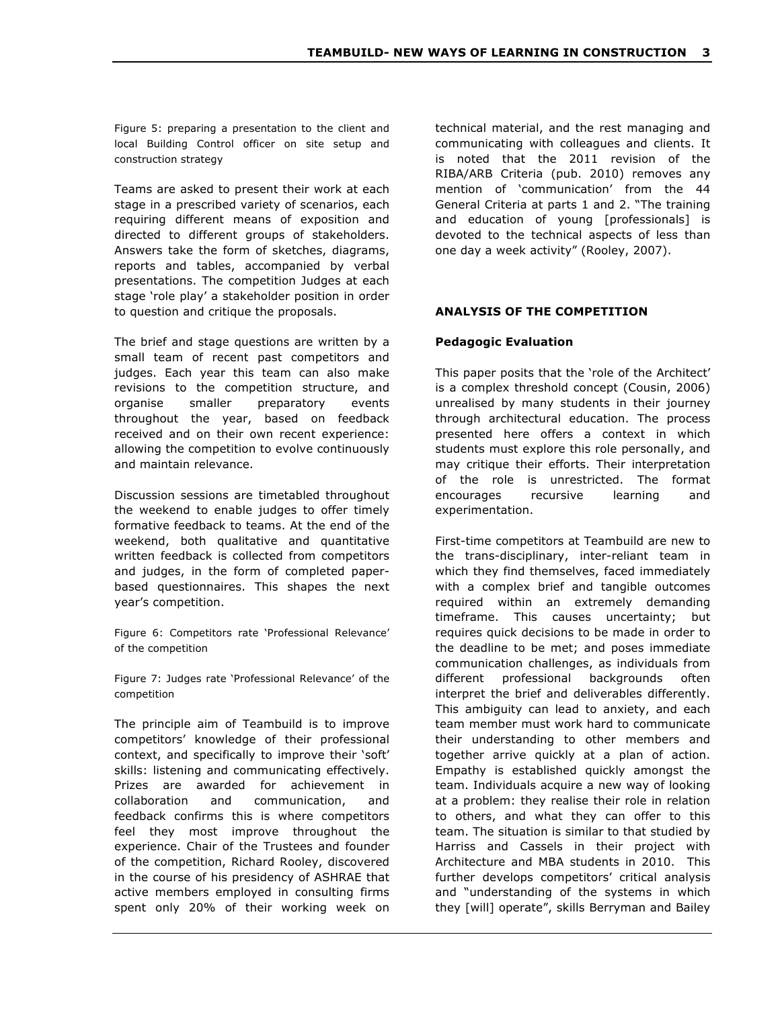Figure 5: preparing a presentation to the client and local Building Control officer on site setup and construction strategy

Teams are asked to present their work at each stage in a prescribed variety of scenarios, each requiring different means of exposition and directed to different groups of stakeholders. Answers take the form of sketches, diagrams, reports and tables, accompanied by verbal presentations. The competition Judges at each stage 'role play' a stakeholder position in order to question and critique the proposals.

The brief and stage questions are written by a small team of recent past competitors and judges. Each year this team can also make revisions to the competition structure, and organise smaller preparatory events throughout the year, based on feedback received and on their own recent experience: allowing the competition to evolve continuously and maintain relevance.

Discussion sessions are timetabled throughout the weekend to enable judges to offer timely formative feedback to teams. At the end of the weekend, both qualitative and quantitative written feedback is collected from competitors and judges, in the form of completed paperbased questionnaires. This shapes the next year's competition.

Figure 6: Competitors rate 'Professional Relevance' of the competition

Figure 7: Judges rate 'Professional Relevance' of the competition

The principle aim of Teambuild is to improve competitors' knowledge of their professional context, and specifically to improve their 'soft' skills: listening and communicating effectively. Prizes are awarded for achievement in collaboration and communication, and feedback confirms this is where competitors feel they most improve throughout the experience. Chair of the Trustees and founder of the competition, Richard Rooley, discovered in the course of his presidency of ASHRAE that active members employed in consulting firms spent only 20% of their working week on

technical material, and the rest managing and communicating with colleagues and clients. It is noted that the 2011 revision of the RIBA/ARB Criteria (pub. 2010) removes any mention of 'communication' from the 44 General Criteria at parts 1 and 2. "The training and education of young [professionals] is devoted to the technical aspects of less than one day a week activity" (Rooley, 2007).

# **ANALYSIS OF THE COMPETITION**

# **Pedagogic Evaluation**

This paper posits that the 'role of the Architect' is a complex threshold concept (Cousin, 2006) unrealised by many students in their journey through architectural education. The process presented here offers a context in which students must explore this role personally, and may critique their efforts. Their interpretation of the role is unrestricted. The format encourages recursive learning and experimentation.

First-time competitors at Teambuild are new to the trans-disciplinary, inter-reliant team in which they find themselves, faced immediately with a complex brief and tangible outcomes required within an extremely demanding timeframe. This causes uncertainty; but requires quick decisions to be made in order to the deadline to be met; and poses immediate communication challenges, as individuals from different professional backgrounds often interpret the brief and deliverables differently. This ambiguity can lead to anxiety, and each team member must work hard to communicate their understanding to other members and together arrive quickly at a plan of action. Empathy is established quickly amongst the team. Individuals acquire a new way of looking at a problem: they realise their role in relation to others, and what they can offer to this team. The situation is similar to that studied by Harriss and Cassels in their project with Architecture and MBA students in 2010. This further develops competitors' critical analysis and "understanding of the systems in which they [will] operate", skills Berryman and Bailey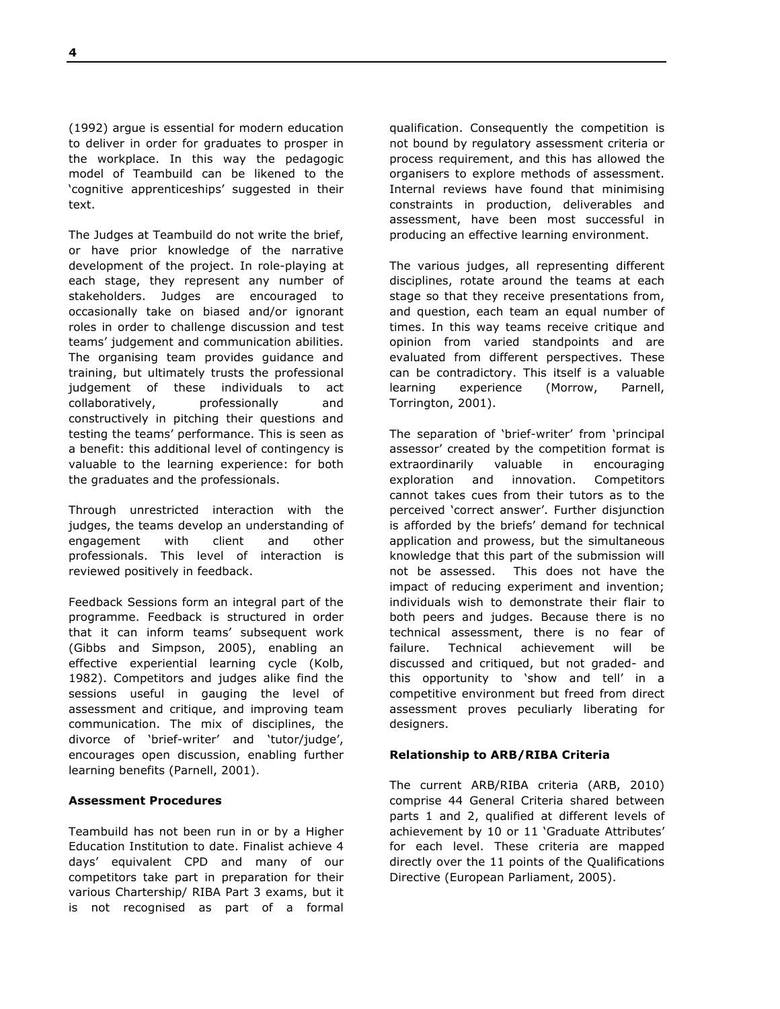(1992) argue is essential for modern education to deliver in order for graduates to prosper in the workplace. In this way the pedagogic model of Teambuild can be likened to the 'cognitive apprenticeships' suggested in their text.

The Judges at Teambuild do not write the brief, or have prior knowledge of the narrative development of the project. In role-playing at each stage, they represent any number of stakeholders. Judges are encouraged to occasionally take on biased and/or ignorant roles in order to challenge discussion and test teams' judgement and communication abilities. The organising team provides guidance and training, but ultimately trusts the professional judgement of these individuals to act collaboratively, professionally and constructively in pitching their questions and testing the teams' performance. This is seen as a benefit: this additional level of contingency is valuable to the learning experience: for both the graduates and the professionals.

Through unrestricted interaction with the judges, the teams develop an understanding of engagement with client and other professionals. This level of interaction is reviewed positively in feedback.

Feedback Sessions form an integral part of the programme. Feedback is structured in order that it can inform teams' subsequent work (Gibbs and Simpson, 2005), enabling an effective experiential learning cycle (Kolb, 1982). Competitors and judges alike find the sessions useful in gauging the level of assessment and critique, and improving team communication. The mix of disciplines, the divorce of 'brief-writer' and 'tutor/judge', encourages open discussion, enabling further learning benefits (Parnell, 2001).

## **Assessment Procedures**

Teambuild has not been run in or by a Higher Education Institution to date. Finalist achieve 4 days' equivalent CPD and many of our competitors take part in preparation for their various Chartership/ RIBA Part 3 exams, but it is not recognised as part of a formal

qualification. Consequently the competition is not bound by regulatory assessment criteria or process requirement, and this has allowed the organisers to explore methods of assessment. Internal reviews have found that minimising constraints in production, deliverables and assessment, have been most successful in producing an effective learning environment.

The various judges, all representing different disciplines, rotate around the teams at each stage so that they receive presentations from, and question, each team an equal number of times. In this way teams receive critique and opinion from varied standpoints and are evaluated from different perspectives. These can be contradictory. This itself is a valuable learning experience (Morrow, Parnell, Torrington, 2001).

The separation of 'brief-writer' from 'principal assessor' created by the competition format is extraordinarily valuable in encouraging exploration and innovation. Competitors cannot takes cues from their tutors as to the perceived 'correct answer'. Further disjunction is afforded by the briefs' demand for technical application and prowess, but the simultaneous knowledge that this part of the submission will not be assessed. This does not have the impact of reducing experiment and invention; individuals wish to demonstrate their flair to both peers and judges. Because there is no technical assessment, there is no fear of failure. Technical achievement will be discussed and critiqued, but not graded- and this opportunity to 'show and tell' in a competitive environment but freed from direct assessment proves peculiarly liberating for designers.

## **Relationship to ARB/RIBA Criteria**

The current ARB/RIBA criteria (ARB, 2010) comprise 44 General Criteria shared between parts 1 and 2, qualified at different levels of achievement by 10 or 11 'Graduate Attributes' for each level. These criteria are mapped directly over the 11 points of the Qualifications Directive (European Parliament, 2005).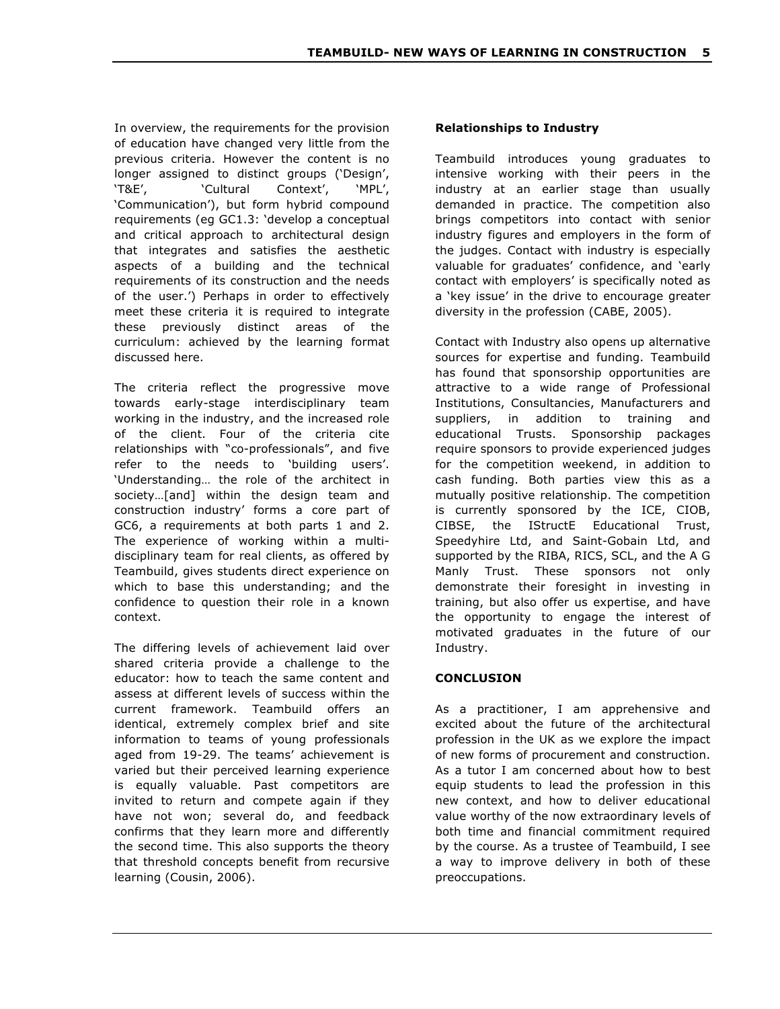In overview, the requirements for the provision of education have changed very little from the previous criteria. However the content is no longer assigned to distinct groups ('Design', 'T&E', 'Cultural Context', 'MPL', 'Communication'), but form hybrid compound requirements (eg GC1.3: 'develop a conceptual and critical approach to architectural design that integrates and satisfies the aesthetic aspects of a building and the technical requirements of its construction and the needs of the user.') Perhaps in order to effectively meet these criteria it is required to integrate these previously distinct areas of the curriculum: achieved by the learning format discussed here.

The criteria reflect the progressive move towards early-stage interdisciplinary team working in the industry, and the increased role of the client. Four of the criteria cite relationships with "co-professionals", and five refer to the needs to 'building users'. 'Understanding… the role of the architect in society…[and] within the design team and construction industry' forms a core part of GC6, a requirements at both parts 1 and 2. The experience of working within a multidisciplinary team for real clients, as offered by Teambuild, gives students direct experience on which to base this understanding; and the confidence to question their role in a known context.

The differing levels of achievement laid over shared criteria provide a challenge to the educator: how to teach the same content and assess at different levels of success within the current framework. Teambuild offers an identical, extremely complex brief and site information to teams of young professionals aged from 19-29. The teams' achievement is varied but their perceived learning experience is equally valuable. Past competitors are invited to return and compete again if they have not won; several do, and feedback confirms that they learn more and differently the second time. This also supports the theory that threshold concepts benefit from recursive learning (Cousin, 2006).

# **Relationships to Industry**

Teambuild introduces young graduates to intensive working with their peers in the industry at an earlier stage than usually demanded in practice. The competition also brings competitors into contact with senior industry figures and employers in the form of the judges. Contact with industry is especially valuable for graduates' confidence, and 'early contact with employers' is specifically noted as a 'key issue' in the drive to encourage greater diversity in the profession (CABE, 2005).

Contact with Industry also opens up alternative sources for expertise and funding. Teambuild has found that sponsorship opportunities are attractive to a wide range of Professional Institutions, Consultancies, Manufacturers and suppliers, in addition to training and educational Trusts. Sponsorship packages require sponsors to provide experienced judges for the competition weekend, in addition to cash funding. Both parties view this as a mutually positive relationship. The competition is currently sponsored by the ICE, CIOB, CIBSE, the IStructE Educational Trust, Speedyhire Ltd, and Saint-Gobain Ltd, and supported by the RIBA, RICS, SCL, and the A G Manly Trust. These sponsors not only demonstrate their foresight in investing in training, but also offer us expertise, and have the opportunity to engage the interest of motivated graduates in the future of our Industry.

# **CONCLUSION**

As a practitioner, I am apprehensive and excited about the future of the architectural profession in the UK as we explore the impact of new forms of procurement and construction. As a tutor I am concerned about how to best equip students to lead the profession in this new context, and how to deliver educational value worthy of the now extraordinary levels of both time and financial commitment required by the course. As a trustee of Teambuild, I see a way to improve delivery in both of these preoccupations.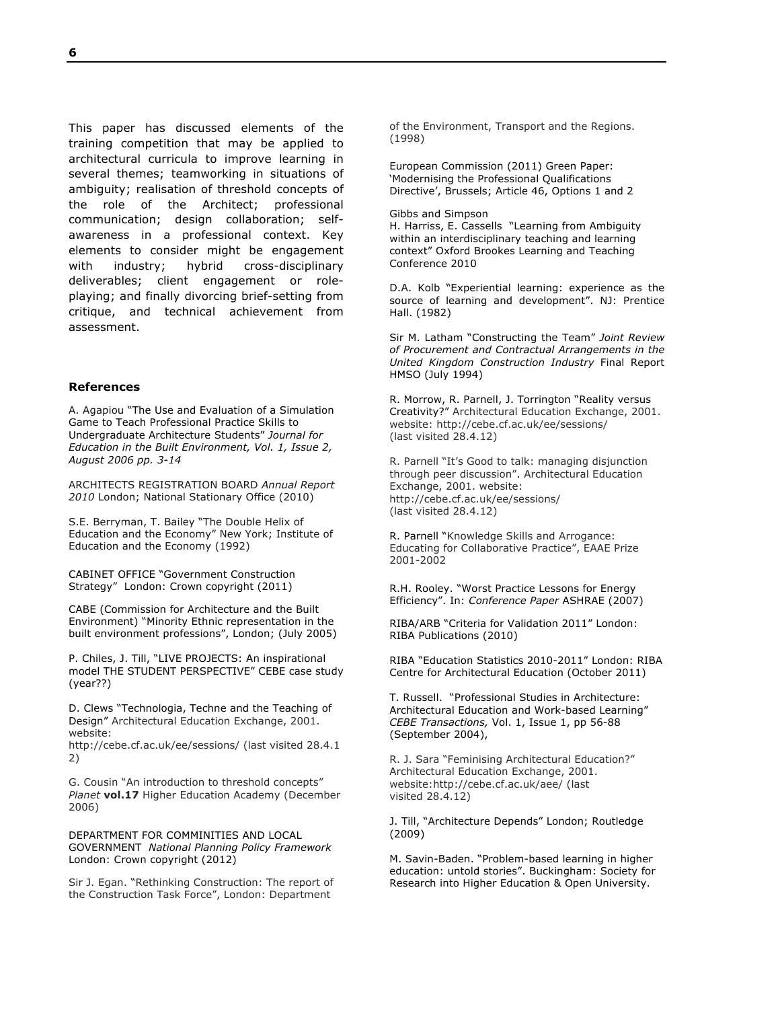This paper has discussed elements of the training competition that may be applied to architectural curricula to improve learning in several themes; teamworking in situations of ambiguity; realisation of threshold concepts of the role of the Architect; professional communication; design collaboration; selfawareness in a professional context. Key elements to consider might be engagement with industry; hybrid cross-disciplinary deliverables; client engagement or roleplaying; and finally divorcing brief-setting from critique, and technical achievement from assessment.

#### **References**

A. Agapiou "The Use and Evaluation of a Simulation Game to Teach Professional Practice Skills to Undergraduate Architecture Students" *Journal for Education in the Built Environment, Vol. 1, Issue 2, August 2006 pp. 3-14*

ARCHITECTS REGISTRATION BOARD *Annual Report 2010* London; National Stationary Office (2010)

S.E. Berryman, T. Bailey "The Double Helix of Education and the Economy" New York; Institute of Education and the Economy (1992)

CABINET OFFICE "Government Construction Strategy" London: Crown copyright (2011)

CABE (Commission for Architecture and the Built Environment) "Minority Ethnic representation in the built environment professions", London; (July 2005)

P. Chiles, J. Till, "LIVE PROJECTS: An inspirational model THE STUDENT PERSPECTIVE" CEBE case study (year??)

D. Clews "Technologia, Techne and the Teaching of Design" Architectural Education Exchange, 2001. website:

http://cebe.cf.ac.uk/ee/sessions/ (last visited 28.4.1 2)

G. Cousin "An introduction to threshold concepts" *Planet* **vol.17** Higher Education Academy (December 2006)

DEPARTMENT FOR COMMINITIES AND LOCAL GOVERNMENT *National Planning Policy Framework* London: Crown copyright (2012)

Sir J. Egan. "Rethinking Construction: The report of the Construction Task Force", London: Department

of the Environment, Transport and the Regions. (1998)

European Commission (2011) Green Paper: 'Modernising the Professional Qualifications Directive', Brussels; Article 46, Options 1 and 2

Gibbs and Simpson

H. Harriss, E. Cassells "Learning from Ambiguity within an interdisciplinary teaching and learning context" Oxford Brookes Learning and Teaching Conference 2010

D.A. Kolb "Experiential learning: experience as the source of learning and development". NJ: Prentice Hall. (1982)

Sir M. Latham "Constructing the Team" *Joint Review of Procurement and Contractual Arrangements in the United Kingdom Construction Industry* Final Report HMSO (July 1994)

R. Morrow, R. Parnell, J. Torrington "Reality versus Creativity?" Architectural Education Exchange, 2001. website: http://cebe.cf.ac.uk/ee/sessions/ (last visited 28.4.12)

R. Parnell "It's Good to talk: managing disjunction through peer discussion". Architectural Education Exchange, 2001. website: http://cebe.cf.ac.uk/ee/sessions/ (last visited 28.4.12)

R. Parnell "Knowledge Skills and Arrogance: Educating for Collaborative Practice", EAAE Prize 2001-2002

R.H. Rooley. "Worst Practice Lessons for Energy Efficiency". In: *Conference Paper* ASHRAE (2007)

RIBA/ARB "Criteria for Validation 2011" London: RIBA Publications (2010)

RIBA "Education Statistics 2010-2011" London: RIBA Centre for Architectural Education (October 2011)

T. Russell. "Professional Studies in Architecture: Architectural Education and Work-based Learning" *CEBE Transactions,* Vol. 1, Issue 1, pp 56-88 (September 2004),

R. J. Sara "Feminising Architectural Education?" Architectural Education Exchange, 2001. website:http://cebe.cf.ac.uk/aee/ (last visited 28.4.12)

J. Till, "Architecture Depends" London; Routledge (2009)

M. Savin-Baden. "Problem-based learning in higher education: untold stories". Buckingham: Society for Research into Higher Education & Open University.